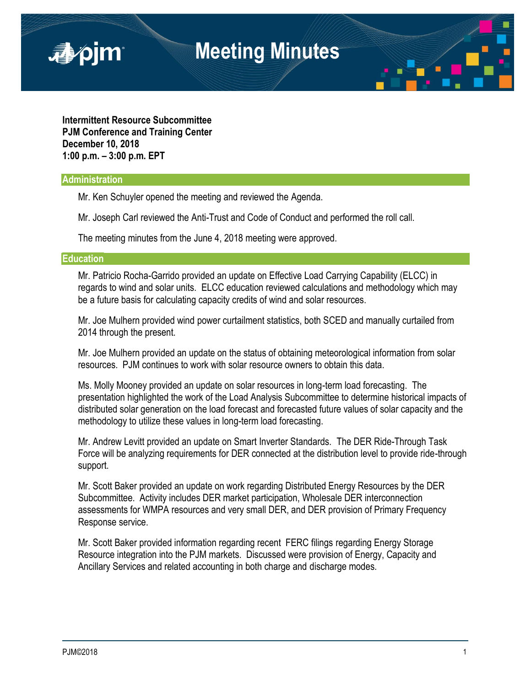

**Intermittent Resource Subcommittee PJM Conference and Training Center December 10, 2018 1:00 p.m. – 3:00 p.m. EPT**

## **Administration**

Mr. Ken Schuyler opened the meeting and reviewed the Agenda.

Mr. Joseph Carl reviewed the Anti-Trust and Code of Conduct and performed the roll call.

The meeting minutes from the June 4, 2018 meeting were approved.

## **Education**

Mr. Patricio Rocha-Garrido provided an update on Effective Load Carrying Capability (ELCC) in regards to wind and solar units. ELCC education reviewed calculations and methodology which may be a future basis for calculating capacity credits of wind and solar resources.

Mr. Joe Mulhern provided wind power curtailment statistics, both SCED and manually curtailed from 2014 through the present.

Mr. Joe Mulhern provided an update on the status of obtaining meteorological information from solar resources. PJM continues to work with solar resource owners to obtain this data.

Ms. Molly Mooney provided an update on solar resources in long-term load forecasting. The presentation highlighted the work of the Load Analysis Subcommittee to determine historical impacts of distributed solar generation on the load forecast and forecasted future values of solar capacity and the methodology to utilize these values in long-term load forecasting.

Mr. Andrew Levitt provided an update on Smart Inverter Standards. The DER Ride-Through Task Force will be analyzing requirements for DER connected at the distribution level to provide ride-through support.

Mr. Scott Baker provided an update on work regarding Distributed Energy Resources by the DER Subcommittee. Activity includes DER market participation, Wholesale DER interconnection assessments for WMPA resources and very small DER, and DER provision of Primary Frequency Response service.

Mr. Scott Baker provided information regarding recent FERC filings regarding Energy Storage Resource integration into the PJM markets. Discussed were provision of Energy, Capacity and Ancillary Services and related accounting in both charge and discharge modes.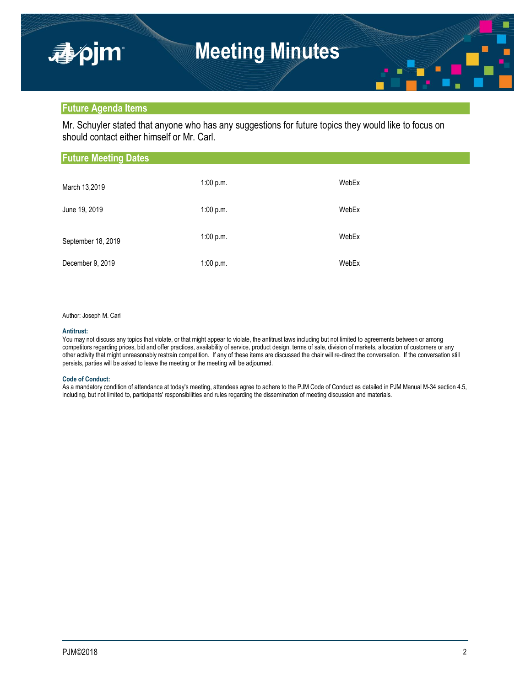## **Future Agenda Items**

Mr. Schuyler stated that anyone who has any suggestions for future topics they would like to focus on should contact either himself or Mr. Carl.

| <b>Future Meeting Dates</b> |           |       |  |  |
|-----------------------------|-----------|-------|--|--|
| March 13,2019               | 1:00 p.m. | WebEx |  |  |
| June 19, 2019               | 1:00 p.m. | WebEx |  |  |
| September 18, 2019          | 1:00 p.m. | WebEx |  |  |
| December 9, 2019            | 1:00 p.m. | WebEx |  |  |

#### Author: Joseph M. Carl

#### **Antitrust:**

You may not discuss any topics that violate, or that might appear to violate, the antitrust laws including but not limited to agreements between or among competitors regarding prices, bid and offer practices, availability of service, product design, terms of sale, division of markets, allocation of customers or any other activity that might unreasonably restrain competition. If any of these items are discussed the chair will re-direct the conversation. If the conversation still persists, parties will be asked to leave the meeting or the meeting will be adjourned.

#### **Code of Conduct:**

As a mandatory condition of attendance at today's meeting, attendees agree to adhere to the PJM Code of Conduct as detailed in PJM Manual M-34 section 4.5, including, but not limited to, participants' responsibilities and rules regarding the dissemination of meeting discussion and materials.